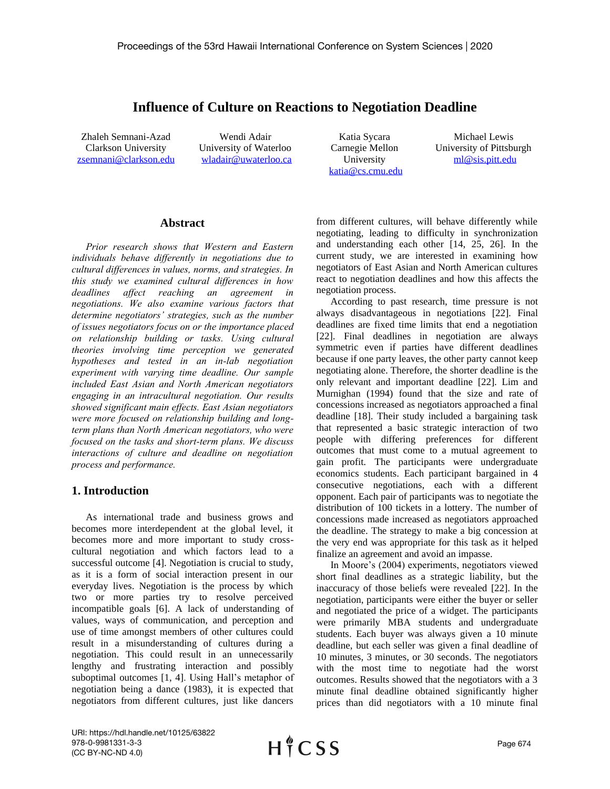# **Influence of Culture on Reactions to Negotiation Deadline**

Zhaleh Semnani-Azad Clarkson University [zsemnani@clarkson.edu](mailto:zsemnani@clarkson.edu)

Wendi Adair University of Waterloo [wladair@uwaterloo.ca](mailto:wladair@uwaterloo.ca)

Katia Sycara Carnegie Mellon University [katia@cs.cmu.edu](mailto:katia@cs.cmu.edu)

Michael Lewis University of Pittsburgh [ml@sis.pitt.edu](mailto:ml@sis.pitt.edu)

## **Abstract**

*Prior research shows that Western and Eastern individuals behave differently in negotiations due to cultural differences in values, norms, and strategies. In this study we examined cultural differences in how deadlines affect reaching an agreement in negotiations. We also examine various factors that determine negotiators' strategies, such as the number of issues negotiators focus on or the importance placed on relationship building or tasks. Using cultural theories involving time perception we generated hypotheses and tested in an in-lab negotiation experiment with varying time deadline. Our sample included East Asian and North American negotiators engaging in an intracultural negotiation. Our results showed significant main effects. East Asian negotiators were more focused on relationship building and longterm plans than North American negotiators, who were focused on the tasks and short-term plans. We discuss interactions of culture and deadline on negotiation process and performance.* 

## **1. Introduction**

As international trade and business grows and becomes more interdependent at the global level, it becomes more and more important to study crosscultural negotiation and which factors lead to a successful outcome [4]. Negotiation is crucial to study, as it is a form of social interaction present in our everyday lives. Negotiation is the process by which two or more parties try to resolve perceived incompatible goals [6]. A lack of understanding of values, ways of communication, and perception and use of time amongst members of other cultures could result in a misunderstanding of cultures during a negotiation. This could result in an unnecessarily lengthy and frustrating interaction and possibly suboptimal outcomes [1, 4]. Using Hall's metaphor of negotiation being a dance (1983), it is expected that negotiators from different cultures, just like dancers

from different cultures, will behave differently while negotiating, leading to difficulty in synchronization and understanding each other [14, 25, 26]. In the current study, we are interested in examining how negotiators of East Asian and North American cultures react to negotiation deadlines and how this affects the negotiation process.

According to past research, time pressure is not always disadvantageous in negotiations [22]. Final deadlines are fixed time limits that end a negotiation [22]. Final deadlines in negotiation are always symmetric even if parties have different deadlines because if one party leaves, the other party cannot keep negotiating alone. Therefore, the shorter deadline is the only relevant and important deadline [22]. Lim and Murnighan (1994) found that the size and rate of concessions increased as negotiators approached a final deadline [18]. Their study included a bargaining task that represented a basic strategic interaction of two people with differing preferences for different outcomes that must come to a mutual agreement to gain profit. The participants were undergraduate economics students. Each participant bargained in 4 consecutive negotiations, each with a different opponent. Each pair of participants was to negotiate the distribution of 100 tickets in a lottery. The number of concessions made increased as negotiators approached the deadline. The strategy to make a big concession at the very end was appropriate for this task as it helped finalize an agreement and avoid an impasse.

In Moore's (2004) experiments, negotiators viewed short final deadlines as a strategic liability, but the inaccuracy of those beliefs were revealed [22]. In the negotiation, participants were either the buyer or seller and negotiated the price of a widget. The participants were primarily MBA students and undergraduate students. Each buyer was always given a 10 minute deadline, but each seller was given a final deadline of 10 minutes, 3 minutes, or 30 seconds. The negotiators with the most time to negotiate had the worst outcomes. Results showed that the negotiators with a 3 minute final deadline obtained significantly higher prices than did negotiators with a 10 minute final

URI: https://hdl.handle.net/10125/63822 978-0-9981331-3-3 (CC BY-NC-ND 4.0)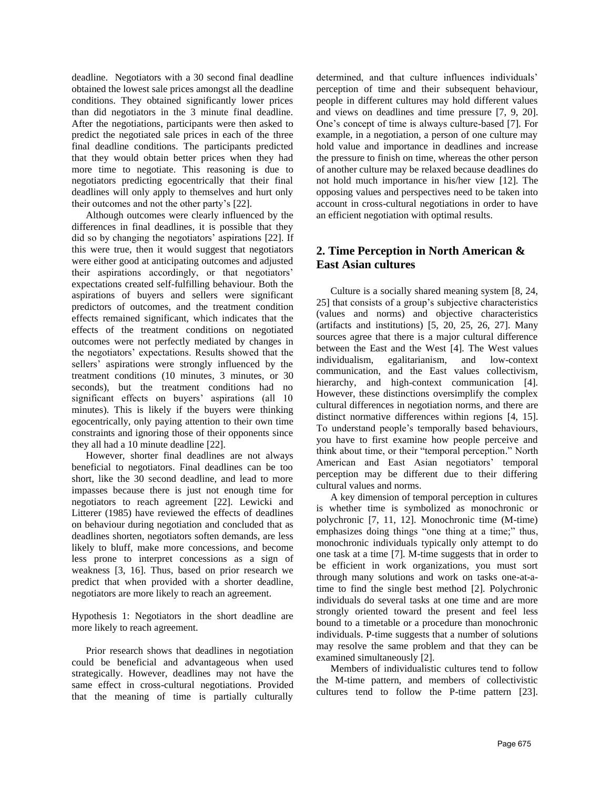deadline. Negotiators with a 30 second final deadline obtained the lowest sale prices amongst all the deadline conditions. They obtained significantly lower prices than did negotiators in the 3 minute final deadline. After the negotiations, participants were then asked to predict the negotiated sale prices in each of the three final deadline conditions. The participants predicted that they would obtain better prices when they had more time to negotiate. This reasoning is due to negotiators predicting egocentrically that their final deadlines will only apply to themselves and hurt only their outcomes and not the other party's [22].

Although outcomes were clearly influenced by the differences in final deadlines, it is possible that they did so by changing the negotiators' aspirations [22]. If this were true, then it would suggest that negotiators were either good at anticipating outcomes and adjusted their aspirations accordingly, or that negotiators' expectations created self-fulfilling behaviour. Both the aspirations of buyers and sellers were significant predictors of outcomes, and the treatment condition effects remained significant, which indicates that the effects of the treatment conditions on negotiated outcomes were not perfectly mediated by changes in the negotiators' expectations. Results showed that the sellers' aspirations were strongly influenced by the treatment conditions (10 minutes, 3 minutes, or 30 seconds), but the treatment conditions had no significant effects on buyers' aspirations (all 10 minutes). This is likely if the buyers were thinking egocentrically, only paying attention to their own time constraints and ignoring those of their opponents since they all had a 10 minute deadline [22].

However, shorter final deadlines are not always beneficial to negotiators. Final deadlines can be too short, like the 30 second deadline, and lead to more impasses because there is just not enough time for negotiators to reach agreement [22]. Lewicki and Litterer (1985) have reviewed the effects of deadlines on behaviour during negotiation and concluded that as deadlines shorten, negotiators soften demands, are less likely to bluff, make more concessions, and become less prone to interpret concessions as a sign of weakness [3, 16]. Thus, based on prior research we predict that when provided with a shorter deadline, negotiators are more likely to reach an agreement.

Hypothesis 1: Negotiators in the short deadline are more likely to reach agreement.

Prior research shows that deadlines in negotiation could be beneficial and advantageous when used strategically. However, deadlines may not have the same effect in cross-cultural negotiations. Provided that the meaning of time is partially culturally

determined, and that culture influences individuals' perception of time and their subsequent behaviour, people in different cultures may hold different values and views on deadlines and time pressure [7, 9, 20]. One's concept of time is always culture-based [7]. For example, in a negotiation, a person of one culture may hold value and importance in deadlines and increase the pressure to finish on time, whereas the other person of another culture may be relaxed because deadlines do not hold much importance in his/her view [12]. The opposing values and perspectives need to be taken into account in cross-cultural negotiations in order to have an efficient negotiation with optimal results.

## **2. Time Perception in North American & East Asian cultures**

Culture is a socially shared meaning system [8, 24, 25] that consists of a group's subjective characteristics (values and norms) and objective characteristics (artifacts and institutions)  $[5, 20, 25, 26, 27]$ . Many sources agree that there is a major cultural difference between the East and the West [4]. The West values individualism, egalitarianism, and low-context communication, and the East values collectivism, hierarchy, and high-context communication [4]. However, these distinctions oversimplify the complex cultural differences in negotiation norms, and there are distinct normative differences within regions [4, 15]. To understand people's temporally based behaviours, you have to first examine how people perceive and think about time, or their "temporal perception." North American and East Asian negotiators' temporal perception may be different due to their differing cultural values and norms.

A key dimension of temporal perception in cultures is whether time is symbolized as monochronic or polychronic [7, 11, 12]. Monochronic time (M-time) emphasizes doing things "one thing at a time;" thus, monochronic individuals typically only attempt to do one task at a time [7]. M-time suggests that in order to be efficient in work organizations, you must sort through many solutions and work on tasks one-at-atime to find the single best method [2]. Polychronic individuals do several tasks at one time and are more strongly oriented toward the present and feel less bound to a timetable or a procedure than monochronic individuals. P-time suggests that a number of solutions may resolve the same problem and that they can be examined simultaneously [2].

Members of individualistic cultures tend to follow the M-time pattern, and members of collectivistic cultures tend to follow the P-time pattern [23].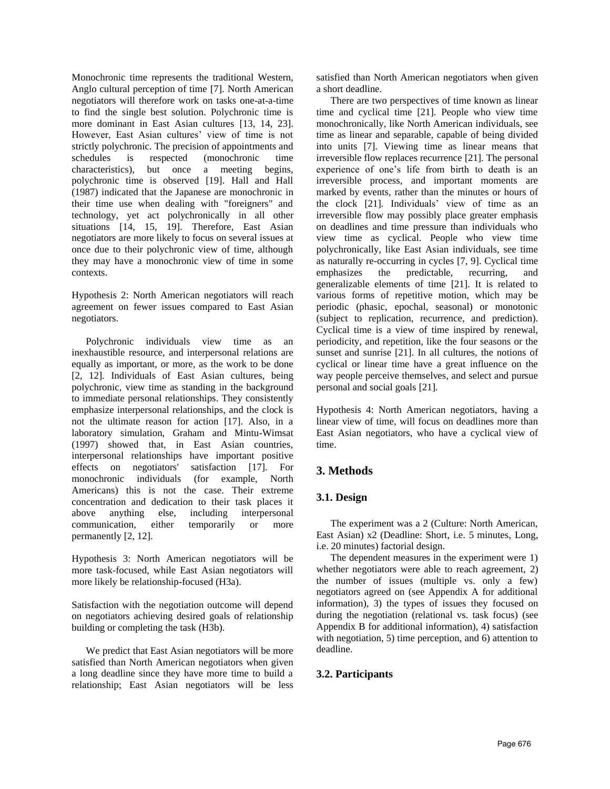Monochronic time represents the traditional Western, Anglo cultural perception of time [7]. North American negotiators will therefore work on tasks one-at-a-time to find the single best solution. Polychronic time is more dominant in East Asian cultures [13, 14, 23]. However, East Asian cultures' view of time is not strictly polychronic. The precision of appointments and schedules is respected (monochronic time characteristics), but once a meeting begins, polychronic time is observed [19]. Hall and Hall (1987) indicated that the Japanese are monochronic in their time use when dealing with "foreigners" and technology, yet act polychronically in all other situations [14, 15, 19]. Therefore, East Asian negotiators are more likely to focus on several issues at once due to their polychronic view of time, although they may have a monochronic view of time in some contexts.

Hypothesis 2: North American negotiators will reach agreement on fewer issues compared to East Asian negotiators.

Polychronic individuals view time as an inexhaustible resource, and interpersonal relations are equally as important, or more, as the work to be done [2, 12]. Individuals of East Asian cultures, being polychronic, view time as standing in the background to immediate personal relationships. They consistently emphasize interpersonal relationships, and the clock is not the ultimate reason for action [17]. Also, in a laboratory simulation, Graham and Mintu-Wimsat (1997) showed that, in East Asian countries, interpersonal relationships have important positive effects on negotiators' satisfaction [17]. For monochronic individuals (for example, North Americans) this is not the case. Their extreme concentration and dedication to their task places it above anything else, including interpersonal communication, either temporarily or more permanently [2, 12].

Hypothesis 3: North American negotiators will be more task-focused, while East Asian negotiators will more likely be relationship-focused (H3a).

Satisfaction with the negotiation outcome will depend on negotiators achieving desired goals of relationship building or completing the task (H3b).

We predict that East Asian negotiators will be more satisfied than North American negotiators when given a long deadline since they have more time to build a relationship; East Asian negotiators will be less

satisfied than North American negotiators when given a short deadline.

There are two perspectives of time known as linear time and cyclical time [21]. People who view time monochronically, like North American individuals, see time as linear and separable, capable of being divided into units [7]. Viewing time as linear means that irreversible flow replaces recurrence [21]. The personal experience of one's life from birth to death is an irreversible process, and important moments are marked by events, rather than the minutes or hours of the clock [21]. Individuals' view of time as an irreversible flow may possibly place greater emphasis on deadlines and time pressure than individuals who view time as cyclical. People who view time polychronically, like East Asian individuals, see time as naturally re-occurring in cycles [7, 9]. Cyclical time emphasizes the predictable, recurring, and generalizable elements of time [21]. It is related to various forms of repetitive motion, which may be periodic (phasic, epochal, seasonal) or monotonic (subject to replication, recurrence, and prediction). Cyclical time is a view of time inspired by renewal, periodicity, and repetition, like the four seasons or the sunset and sunrise [21]. In all cultures, the notions of cyclical or linear time have a great influence on the way people perceive themselves, and select and pursue personal and social goals [21].

Hypothesis 4: North American negotiators, having a linear view of time, will focus on deadlines more than East Asian negotiators, who have a cyclical view of time.

# **3. Methods**

## **3.1. Design**

The experiment was a 2 (Culture: North American, East Asian) x2 (Deadline: Short, i.e. 5 minutes, Long, i.e. 20 minutes) factorial design.

The dependent measures in the experiment were 1) whether negotiators were able to reach agreement, 2) the number of issues (multiple vs. only a few) negotiators agreed on (see Appendix A for additional information), 3) the types of issues they focused on during the negotiation (relational vs. task focus) (see Appendix B for additional information), 4) satisfaction with negotiation, 5) time perception, and 6) attention to deadline.

## **3.2. Participants**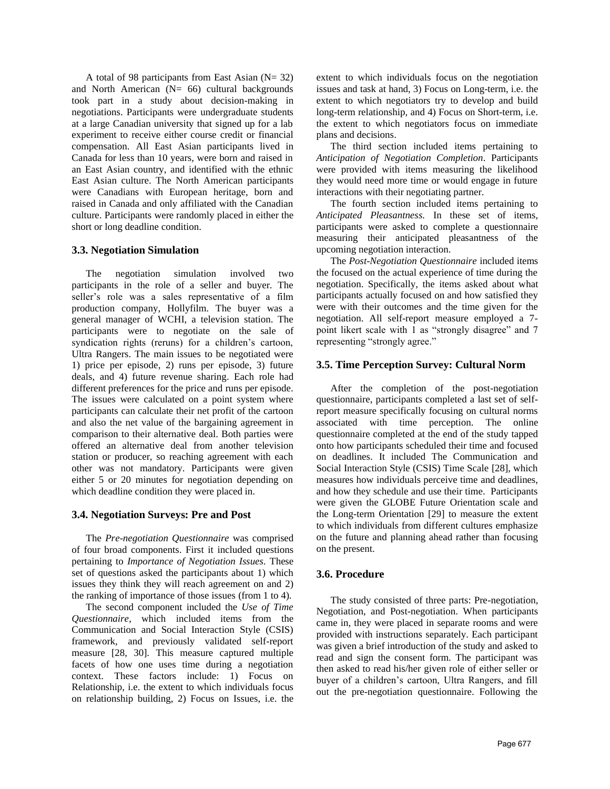A total of 98 participants from East Asian  $(N= 32)$ and North American  $(N= 66)$  cultural backgrounds took part in a study about decision-making in negotiations. Participants were undergraduate students at a large Canadian university that signed up for a lab experiment to receive either course credit or financial compensation. All East Asian participants lived in Canada for less than 10 years, were born and raised in an East Asian country, and identified with the ethnic East Asian culture. The North American participants were Canadians with European heritage, born and raised in Canada and only affiliated with the Canadian culture. Participants were randomly placed in either the short or long deadline condition.

#### **3.3. Negotiation Simulation**

The negotiation simulation involved two participants in the role of a seller and buyer. The seller's role was a sales representative of a film production company, Hollyfilm. The buyer was a general manager of WCHI, a television station. The participants were to negotiate on the sale of syndication rights (reruns) for a children's cartoon, Ultra Rangers. The main issues to be negotiated were 1) price per episode, 2) runs per episode, 3) future deals, and 4) future revenue sharing. Each role had different preferences for the price and runs per episode. The issues were calculated on a point system where participants can calculate their net profit of the cartoon and also the net value of the bargaining agreement in comparison to their alternative deal. Both parties were offered an alternative deal from another television station or producer, so reaching agreement with each other was not mandatory. Participants were given either 5 or 20 minutes for negotiation depending on which deadline condition they were placed in.

## **3.4. Negotiation Surveys: Pre and Post**

The *Pre-negotiation Questionnaire* was comprised of four broad components. First it included questions pertaining to *Importance of Negotiation Issues.* These set of questions asked the participants about 1) which issues they think they will reach agreement on and 2) the ranking of importance of those issues (from 1 to 4).

The second component included the *Use of Time Questionnaire*, which included items from the Communication and Social Interaction Style (CSIS) framework, and previously validated self-report measure [28, 30]. This measure captured multiple facets of how one uses time during a negotiation context. These factors include: 1) Focus on Relationship, i.e. the extent to which individuals focus on relationship building, 2) Focus on Issues, i.e. the

extent to which individuals focus on the negotiation issues and task at hand, 3) Focus on Long-term, i.e. the extent to which negotiators try to develop and build long-term relationship, and 4) Focus on Short-term, i.e. the extent to which negotiators focus on immediate plans and decisions.

The third section included items pertaining to *Anticipation of Negotiation Completion*. Participants were provided with items measuring the likelihood they would need more time or would engage in future interactions with their negotiating partner.

The fourth section included items pertaining to *Anticipated Pleasantness.* In these set of items, participants were asked to complete a questionnaire measuring their anticipated pleasantness of the upcoming negotiation interaction.

The *Post-Negotiation Questionnaire* included items the focused on the actual experience of time during the negotiation. Specifically, the items asked about what participants actually focused on and how satisfied they were with their outcomes and the time given for the negotiation. All self-report measure employed a 7 point likert scale with 1 as "strongly disagree" and 7 representing "strongly agree."

#### **3.5. Time Perception Survey: Cultural Norm**

After the completion of the post-negotiation questionnaire, participants completed a last set of selfreport measure specifically focusing on cultural norms associated with time perception. The online questionnaire completed at the end of the study tapped onto how participants scheduled their time and focused on deadlines. It included The Communication and Social Interaction Style (CSIS) Time Scale [28], which measures how individuals perceive time and deadlines, and how they schedule and use their time. Participants were given the GLOBE Future Orientation scale and the Long-term Orientation [29] to measure the extent to which individuals from different cultures emphasize on the future and planning ahead rather than focusing on the present.

## **3.6. Procedure**

The study consisted of three parts: Pre-negotiation, Negotiation, and Post-negotiation. When participants came in, they were placed in separate rooms and were provided with instructions separately. Each participant was given a brief introduction of the study and asked to read and sign the consent form. The participant was then asked to read his/her given role of either seller or buyer of a children's cartoon, Ultra Rangers, and fill out the pre-negotiation questionnaire. Following the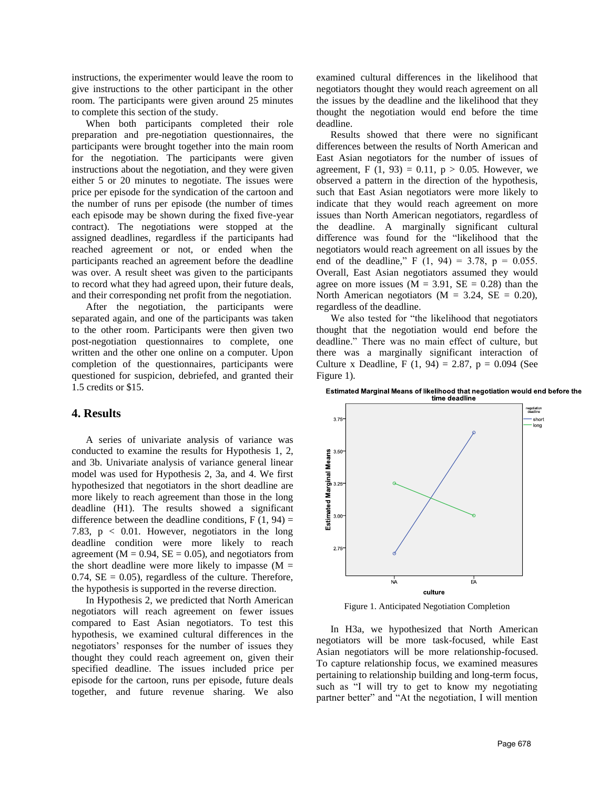instructions, the experimenter would leave the room to give instructions to the other participant in the other room. The participants were given around 25 minutes to complete this section of the study.

When both participants completed their role preparation and pre-negotiation questionnaires, the participants were brought together into the main room for the negotiation. The participants were given instructions about the negotiation, and they were given either 5 or 20 minutes to negotiate. The issues were price per episode for the syndication of the cartoon and the number of runs per episode (the number of times each episode may be shown during the fixed five-year contract). The negotiations were stopped at the assigned deadlines, regardless if the participants had reached agreement or not, or ended when the participants reached an agreement before the deadline was over. A result sheet was given to the participants to record what they had agreed upon, their future deals, and their corresponding net profit from the negotiation.

After the negotiation, the participants were separated again, and one of the participants was taken to the other room. Participants were then given two post-negotiation questionnaires to complete, one written and the other one online on a computer. Upon completion of the questionnaires, participants were questioned for suspicion, debriefed, and granted their 1.5 credits or \$15.

#### **4. Results**

A series of univariate analysis of variance was conducted to examine the results for Hypothesis 1, 2, and 3b. Univariate analysis of variance general linear model was used for Hypothesis 2, 3a, and 4. We first hypothesized that negotiators in the short deadline are more likely to reach agreement than those in the long deadline (H1). The results showed a significant difference between the deadline conditions,  $F(1, 94) =$ 7.83, p < 0.01. However, negotiators in the long deadline condition were more likely to reach agreement ( $M = 0.94$ ,  $SE = 0.05$ ), and negotiators from the short deadline were more likely to impasse  $(M =$  $0.74$ , SE = 0.05), regardless of the culture. Therefore, the hypothesis is supported in the reverse direction.

In Hypothesis 2, we predicted that North American negotiators will reach agreement on fewer issues compared to East Asian negotiators. To test this hypothesis, we examined cultural differences in the negotiators' responses for the number of issues they thought they could reach agreement on, given their specified deadline. The issues included price per episode for the cartoon, runs per episode, future deals together, and future revenue sharing. We also

examined cultural differences in the likelihood that negotiators thought they would reach agreement on all the issues by the deadline and the likelihood that they thought the negotiation would end before the time deadline.

Results showed that there were no significant differences between the results of North American and East Asian negotiators for the number of issues of agreement, F  $(1, 93) = 0.11$ , p > 0.05. However, we observed a pattern in the direction of the hypothesis, such that East Asian negotiators were more likely to indicate that they would reach agreement on more issues than North American negotiators, regardless of the deadline. A marginally significant cultural difference was found for the "likelihood that the negotiators would reach agreement on all issues by the end of the deadline,"  $F(1, 94) = 3.78$ ,  $p = 0.055$ . Overall, East Asian negotiators assumed they would agree on more issues  $(M = 3.91, SE = 0.28)$  than the North American negotiators  $(M = 3.24, SE = 0.20)$ , regardless of the deadline.

We also tested for "the likelihood that negotiators thought that the negotiation would end before the deadline." There was no main effect of culture, but there was a marginally significant interaction of Culture x Deadline, F  $(1, 94) = 2.87$ , p = 0.094 (See Figure 1).



Estimated Marginal Means of likelihood that negotiation would end before the time deadline

Figure 1. Anticipated Negotiation Completion

In H3a, we hypothesized that North American negotiators will be more task-focused, while East Asian negotiators will be more relationship-focused. To capture relationship focus, we examined measures pertaining to relationship building and long-term focus, such as "I will try to get to know my negotiating partner better" and "At the negotiation, I will mention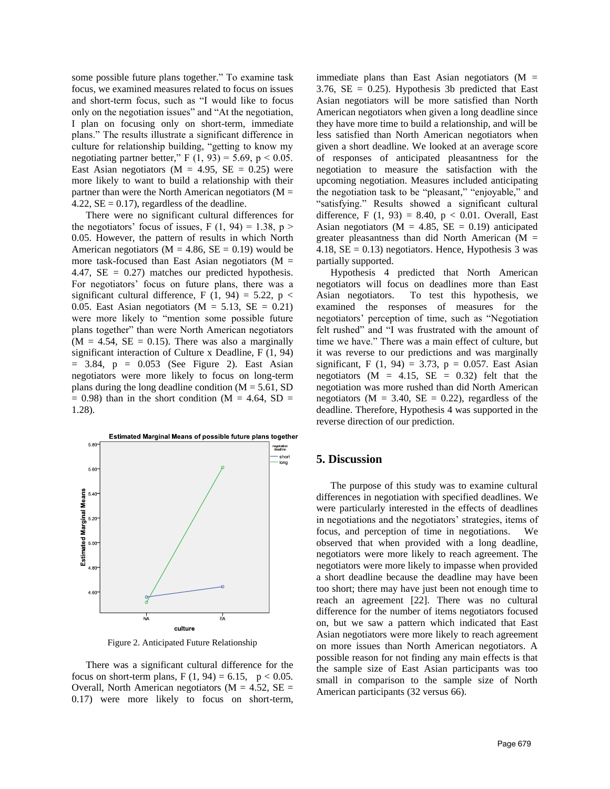some possible future plans together." To examine task focus, we examined measures related to focus on issues and short-term focus, such as "I would like to focus only on the negotiation issues" and "At the negotiation, I plan on focusing only on short-term, immediate plans." The results illustrate a significant difference in culture for relationship building, "getting to know my negotiating partner better," F  $(1, 93) = 5.69$ , p < 0.05. East Asian negotiators ( $M = 4.95$ ,  $SE = 0.25$ ) were more likely to want to build a relationship with their partner than were the North American negotiators ( $M =$ 4.22,  $SE = 0.17$ , regardless of the deadline.

There were no significant cultural differences for the negotiators' focus of issues, F  $(1, 94) = 1.38$ , p > 0.05. However, the pattern of results in which North American negotiators ( $M = 4.86$ ,  $SE = 0.19$ ) would be more task-focused than East Asian negotiators ( $M =$ 4.47,  $SE = 0.27$  matches our predicted hypothesis. For negotiators' focus on future plans, there was a significant cultural difference, F (1, 94) = 5.22, p < 0.05. East Asian negotiators  $(M = 5.13, SE = 0.21)$ were more likely to "mention some possible future plans together" than were North American negotiators  $(M = 4.54, SE = 0.15)$ . There was also a marginally significant interaction of Culture x Deadline, F (1, 94)  $= 3.84$ ,  $p = 0.053$  (See Figure 2). East Asian negotiators were more likely to focus on long-term plans during the long deadline condition  $(M = 5.61, SD)$  $= 0.98$ ) than in the short condition (M = 4.64, SD = 1.28).



Figure 2. Anticipated Future Relationship

There was a significant cultural difference for the focus on short-term plans,  $F(1, 94) = 6.15$ ,  $p < 0.05$ . Overall, North American negotiators ( $M = 4.52$ ,  $SE =$ 0.17) were more likely to focus on short-term,

immediate plans than East Asian negotiators  $(M =$ 3.76,  $SE = 0.25$ . Hypothesis 3b predicted that East Asian negotiators will be more satisfied than North American negotiators when given a long deadline since they have more time to build a relationship, and will be less satisfied than North American negotiators when given a short deadline. We looked at an average score of responses of anticipated pleasantness for the negotiation to measure the satisfaction with the upcoming negotiation. Measures included anticipating the negotiation task to be "pleasant," "enjoyable," and "satisfying." Results showed a significant cultural difference, F (1, 93) = 8.40,  $p < 0.01$ . Overall, East Asian negotiators ( $M = 4.85$ ,  $SE = 0.19$ ) anticipated greater pleasantness than did North American ( $M =$ 4.18,  $SE = 0.13$ ) negotiators. Hence, Hypothesis 3 was partially supported.

Hypothesis 4 predicted that North American negotiators will focus on deadlines more than East Asian negotiators. To test this hypothesis, we examined the responses of measures for the negotiators' perception of time, such as "Negotiation felt rushed" and "I was frustrated with the amount of time we have." There was a main effect of culture, but it was reverse to our predictions and was marginally significant, F (1, 94) = 3.73,  $p = 0.057$ . East Asian negotiators ( $M = 4.15$ ,  $SE = 0.32$ ) felt that the negotiation was more rushed than did North American negotiators ( $M = 3.40$ ,  $SE = 0.22$ ), regardless of the deadline. Therefore, Hypothesis 4 was supported in the reverse direction of our prediction.

#### **5. Discussion**

The purpose of this study was to examine cultural differences in negotiation with specified deadlines. We were particularly interested in the effects of deadlines in negotiations and the negotiators' strategies, items of focus, and perception of time in negotiations. We observed that when provided with a long deadline, negotiators were more likely to reach agreement. The negotiators were more likely to impasse when provided a short deadline because the deadline may have been too short; there may have just been not enough time to reach an agreement [22]. There was no cultural difference for the number of items negotiators focused on, but we saw a pattern which indicated that East Asian negotiators were more likely to reach agreement on more issues than North American negotiators. A possible reason for not finding any main effects is that the sample size of East Asian participants was too small in comparison to the sample size of North American participants (32 versus 66).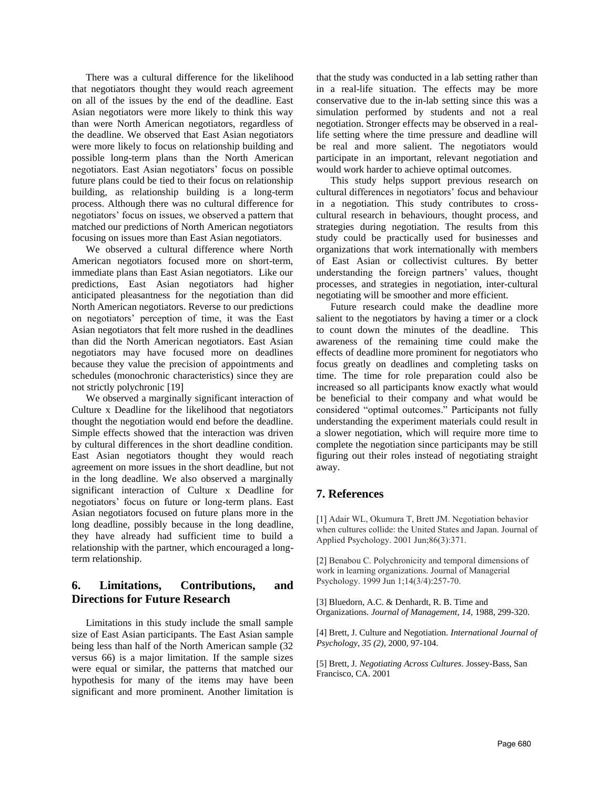There was a cultural difference for the likelihood that negotiators thought they would reach agreement on all of the issues by the end of the deadline. East Asian negotiators were more likely to think this way than were North American negotiators, regardless of the deadline. We observed that East Asian negotiators were more likely to focus on relationship building and possible long-term plans than the North American negotiators. East Asian negotiators' focus on possible future plans could be tied to their focus on relationship building, as relationship building is a long-term process. Although there was no cultural difference for negotiators' focus on issues, we observed a pattern that matched our predictions of North American negotiators focusing on issues more than East Asian negotiators.

We observed a cultural difference where North American negotiators focused more on short-term, immediate plans than East Asian negotiators. Like our predictions, East Asian negotiators had higher anticipated pleasantness for the negotiation than did North American negotiators. Reverse to our predictions on negotiators' perception of time, it was the East Asian negotiators that felt more rushed in the deadlines than did the North American negotiators. East Asian negotiators may have focused more on deadlines because they value the precision of appointments and schedules (monochronic characteristics) since they are not strictly polychronic [19]

We observed a marginally significant interaction of Culture x Deadline for the likelihood that negotiators thought the negotiation would end before the deadline. Simple effects showed that the interaction was driven by cultural differences in the short deadline condition. East Asian negotiators thought they would reach agreement on more issues in the short deadline, but not in the long deadline. We also observed a marginally significant interaction of Culture x Deadline for negotiators' focus on future or long-term plans. East Asian negotiators focused on future plans more in the long deadline, possibly because in the long deadline, they have already had sufficient time to build a relationship with the partner, which encouraged a longterm relationship.

## **6. Limitations, Contributions, and Directions for Future Research**

Limitations in this study include the small sample size of East Asian participants. The East Asian sample being less than half of the North American sample (32 versus 66) is a major limitation. If the sample sizes were equal or similar, the patterns that matched our hypothesis for many of the items may have been significant and more prominent. Another limitation is

that the study was conducted in a lab setting rather than in a real-life situation. The effects may be more conservative due to the in-lab setting since this was a simulation performed by students and not a real negotiation. Stronger effects may be observed in a reallife setting where the time pressure and deadline will be real and more salient. The negotiators would participate in an important, relevant negotiation and would work harder to achieve optimal outcomes.

This study helps support previous research on cultural differences in negotiators' focus and behaviour in a negotiation. This study contributes to crosscultural research in behaviours, thought process, and strategies during negotiation. The results from this study could be practically used for businesses and organizations that work internationally with members of East Asian or collectivist cultures. By better understanding the foreign partners' values, thought processes, and strategies in negotiation, inter-cultural negotiating will be smoother and more efficient.

Future research could make the deadline more salient to the negotiators by having a timer or a clock to count down the minutes of the deadline. This awareness of the remaining time could make the effects of deadline more prominent for negotiators who focus greatly on deadlines and completing tasks on time. The time for role preparation could also be increased so all participants know exactly what would be beneficial to their company and what would be considered "optimal outcomes." Participants not fully understanding the experiment materials could result in a slower negotiation, which will require more time to complete the negotiation since participants may be still figuring out their roles instead of negotiating straight away.

## **7. References**

[1] Adair WL, Okumura T, Brett JM. Negotiation behavior when cultures collide: the United States and Japan. Journal of Applied Psychology. 2001 Jun;86(3):371.

[2] Benabou C. Polychronicity and temporal dimensions of work in learning organizations. Journal of Managerial Psychology. 1999 Jun 1;14(3/4):257-70.

[3] Bluedorn, A.C. & Denhardt, R. B. Time and Organizations. *Journal of Management, 14,* 1988, 299-320.

[4] Brett, J. Culture and Negotiation. *International Journal of Psychology*, *35 (2),* 2000, 97-104.

[5] Brett, J. *Negotiating Across Cultures*. Jossey-Bass, San Francisco, CA. 2001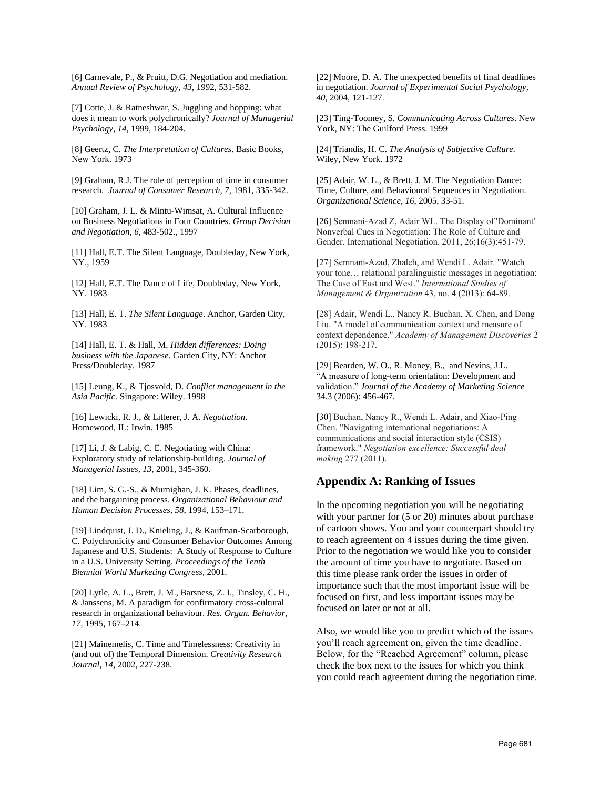[6] Carnevale, P., & Pruitt, D.G. Negotiation and mediation. *Annual Review of Psychology*, *43*, 1992, 531-582.

[7] Cotte, J. & Ratneshwar, S. Juggling and hopping: what does it mean to work polychronically? *Journal of Managerial Psychology, 14,* 1999, 184-204.

[8] Geertz, C. *The Interpretation of Cultures*. Basic Books, New York. 1973

[9] Graham, R.J. The role of perception of time in consumer research. *Journal of Consumer Research, 7*, 1981, 335-342.

[10] Graham, J. L. & Mintu-Wimsat, A. Cultural Influence on Business Negotiations in Four Countries. *Group Decision and Negotiation, 6,* 483-502., 1997

[11] Hall, E.T. The Silent Language, Doubleday, New York, NY., 1959

[12] Hall, E.T. The Dance of Life, Doubleday, New York, NY. 1983

[13] Hall, E. T. *The Silent Language*. Anchor, Garden City, NY. 1983

[14] Hall, E. T. & Hall, M. *Hidden differences: Doing business with the Japanese.* Garden City, NY: Anchor Press/Doubleday. 1987

[15] Leung, K., & Tjosvold, D. *Conflict management in the Asia Pacific.* Singapore: Wiley. 1998

[16] Lewicki, R. J., & Litterer, J. A. *Negotiation*. Homewood, IL: Irwin. 1985

[17] Li, J. & Labig, C. E. Negotiating with China: Exploratory study of relationship-building. *Journal of Managerial Issues, 13,* 2001, 345-360.

[18] Lim, S. G.-S., & Murnighan, J. K. Phases, deadlines, and the bargaining process. *Organizational Behaviour and Human Decision Processes, 58*, 1994, 153–171.

[19] Lindquist, J. D., Knieling, J., & Kaufman-Scarborough, C. Polychronicity and Consumer Behavior Outcomes Among Japanese and U.S. Students: A Study of Response to Culture in a U.S. University Setting. *Proceedings of the Tenth Biennial World Marketing Congress,* 2001.

[20] Lytle, A. L., Brett, J. M., Barsness, Z. I., Tinsley, C. H., & Janssens, M. A paradigm for confirmatory cross-cultural research in organizational behaviour. *Res. Organ. Behavior, 17,* 1995, 167–214.

[21] Mainemelis, C. Time and Timelessness: Creativity in (and out of) the Temporal Dimension. *Creativity Research Journal, 14,* 2002, 227-238.

[22] Moore, D. A. The unexpected benefits of final deadlines in negotiation. *Journal of Experimental Social Psychology, 40*, 2004, 121-127.

[23] Ting-Toomey, S. *Communicating Across Cultures*. New York, NY: The Guilford Press. 1999

[24] Triandis, H. C. *The Analysis of Subjective Culture.*  Wiley, New York. 1972

[25] Adair, W. L., & Brett, J. M. The Negotiation Dance: Time, Culture, and Behavioural Sequences in Negotiation. *Organizational Science, 16*, 2005, 33-51.

[26] Semnani-Azad Z, Adair WL. The Display of 'Dominant' Nonverbal Cues in Negotiation: The Role of Culture and Gender. International Negotiation. 2011, 26;16(3):451-79.

[27] Semnani-Azad, Zhaleh, and Wendi L. Adair. "Watch your tone… relational paralinguistic messages in negotiation: The Case of East and West." *International Studies of Management & Organization* 43, no. 4 (2013): 64-89.

[28] Adair, Wendi L., Nancy R. Buchan, X. Chen, and Dong Liu. "A model of communication context and measure of context dependence." *Academy of Management Discoveries* 2 (2015): 198-217.

[29] Bearden, W. O., R. Money, B., and Nevins, J.L. "A measure of long-term orientation: Development and validation." *Journal of the Academy of Marketing Science*  34.3 (2006): 456-467.

[30] Buchan, Nancy R., Wendi L. Adair, and Xiao-Ping Chen. "Navigating international negotiations: A communications and social interaction style (CSIS) framework." *Negotiation excellence: Successful deal making* 277 (2011).

## **Appendix A: Ranking of Issues**

In the upcoming negotiation you will be negotiating with your partner for  $(5 \text{ or } 20)$  minutes about purchase of cartoon shows. You and your counterpart should try to reach agreement on 4 issues during the time given. Prior to the negotiation we would like you to consider the amount of time you have to negotiate. Based on this time please rank order the issues in order of importance such that the most important issue will be focused on first, and less important issues may be focused on later or not at all.

Also, we would like you to predict which of the issues you'll reach agreement on, given the time deadline. Below, for the "Reached Agreement" column, please check the box next to the issues for which you think you could reach agreement during the negotiation time.